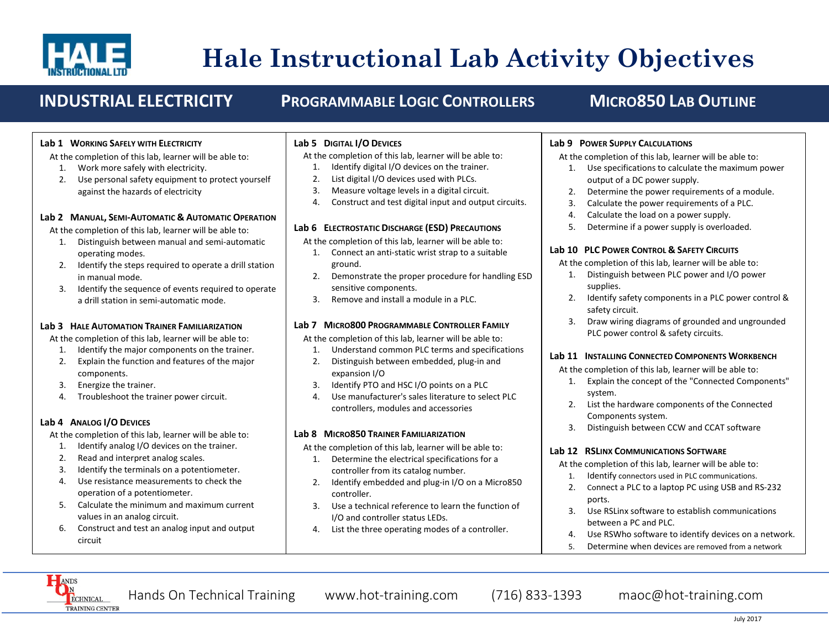

# **Hale Instructional Lab Activity Objectives**

## **INDUSTRIAL ELECTRICITY PROGRAMMABLE LOGIC CONTROLLERS MICRO850 LAB OUTLINE**

#### **Lab 1 WORKING SAFELY WITH ELECTRICITY**

At the completion of this lab, learner will be able to:

- 1. Work more safely with electricity.
- 2. Use personal safety equipment to protect yourself against the hazards of electricity

#### **Lab 2 MANUAL, SEMI-AUTOMATIC & AUTOMATIC OPERATION**

At the completion of this lab, learner will be able to:

- 1. Distinguish between manual and semi-automatic operating modes.
- 2. Identify the steps required to operate a drill station in manual mode.
- 3. Identify the sequence of events required to operate a drill station in semi-automatic mode.

#### **Lab 3 HALE AUTOMATION TRAINER FAMILIARIZATION**

At the completion of this lab, learner will be able to:

- 1. Identify the major components on the trainer.
- 2. Explain the function and features of the major components.
- 3. Energize the trainer.
- 4. Troubleshoot the trainer power circuit.

#### **Lab 4 ANALOG I/O DEVICES**

At the completion of this lab, learner will be able to:

- 1. Identify analog I/O devices on the trainer.
- 2. Read and interpret analog scales.
- 3. Identify the terminals on a potentiometer.
- 4. Use resistance measurements to check the operation of a potentiometer.
- 5. Calculate the minimum and maximum current values in an analog circuit.
- 6. Construct and test an analog input and output circuit

### **Lab 5 DIGITAL I/O DEVICES**

At the completion of this lab, learner will be able to:

- 1. Identify digital I/O devices on the trainer.
- 2. List digital I/O devices used with PLCs.
- 3. Measure voltage levels in a digital circuit.
- 4. Construct and test digital input and output circuits.

### **Lab 6 ELECTROSTATIC DISCHARGE (ESD) PRECAUTIONS**

At the completion of this lab, learner will be able to:

- 1. Connect an anti-static wrist strap to a suitable ground.
- 2. Demonstrate the proper procedure for handling ESD sensitive components.
- 3. Remove and install a module in a PLC.

## **Lab 7 MICRO800 PROGRAMMABLE CONTROLLER FAMILY**

At the completion of this lab, learner will be able to:

- 1. Understand common PLC terms and specifications 2. Distinguish between embedded, plug-in and
- expansion I/O
- 3. Identify PTO and HSC I/O points on a PLC
- 4. Use manufacturer's sales literature to select PLC controllers, modules and accessories

#### **Lab 8 MICRO850 TRAINER FAMILIARIZATION**

At the completion of this lab, learner will be able to:

- 1. Determine the electrical specifications for a controller from its catalog number.
- 2. Identify embedded and plug-in I/O on a Micro850 controller.
- 3. Use a technical reference to learn the function of I/O and controller status LEDs.
- 4. List the three operating modes of a controller.

## **Lab 9 POWER SUPPLY CALCULATIONS**

At the completion of this lab, learner will be able to:

- 1. Use specifications to calculate the maximum power output of a DC power supply.
- 2. Determine the power requirements of a module.
- 3. Calculate the power requirements of a PLC.
- 4. Calculate the load on a power supply.
- 5. Determine if a power supply is overloaded.

### **Lab 10 PLC POWER CONTROL & SAFETY CIRCUITS**

At the completion of this lab, learner will be able to:

- 1. Distinguish between PLC power and I/O power supplies.
- 2. Identify safety components in a PLC power control & safety circuit.
- 3. Draw wiring diagrams of grounded and ungrounded PLC power control & safety circuits.

## **Lab 11 INSTALLING CONNECTED COMPONENTS WORKBENCH**

At the completion of this lab, learner will be able to:

- 1. Explain the concept of the "Connected Components" system.
- 2. List the hardware components of the Connected Components system.
- 3. Distinguish between CCW and CCAT software

## **Lab 12 RSLINX COMMUNICATIONS SOFTWARE**

At the completion of this lab, learner will be able to:

- 1. Identify connectors used in PLC communications.
- 2. Connect a PLC to a laptop PC using USB and RS-232 ports.
- 3. Use RSLinx software to establish communications between a PC and PLC.
- 4. Use RSWho software to identify devices on a network.
- 5. Determine when devices are removed from a network

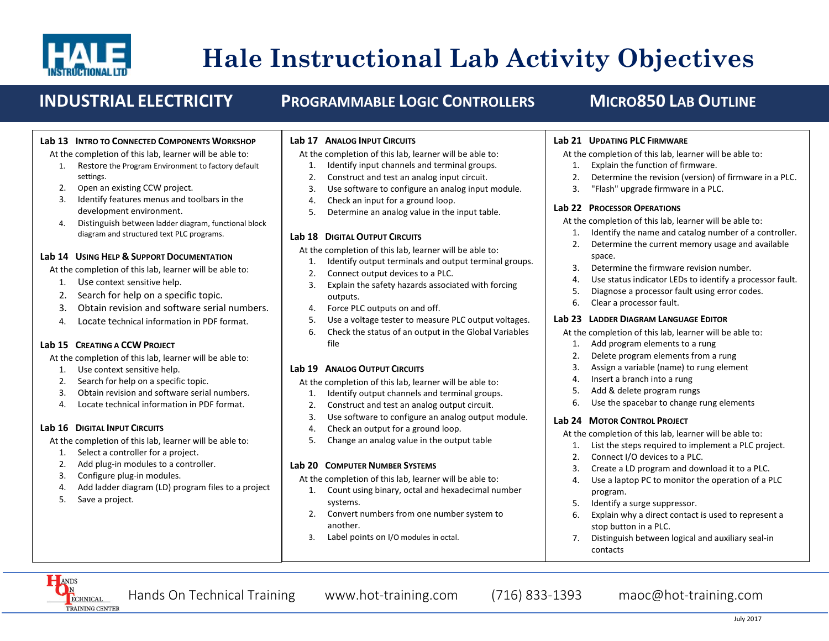

# **Hale Instructional Lab Activity Objectives**

## **INDUSTRIAL ELECTRICITY PROGRAMMABLE LOGIC CONTROLLERS MICRO850 LAB OUTLINE**

#### **Lab 13 INTRO TO CONNECTED COMPONENTS WORKSHOP**

At the completion of this lab, learner will be able to:

- 1. Restore the Program Environment to factory default settings.
- 2. Open an existing CCW project.
- 3. Identify features menus and toolbars in the development environment.
- 4. Distinguish between ladder diagram, functional block diagram and structured text PLC programs.

#### **Lab 14 USING HELP & SUPPORT DOCUMENTATION**

At the completion of this lab, learner will be able to:

- 1. Use context sensitive help.
- 2. Search for help on a specific topic.
- 3. Obtain revision and software serial numbers.
- 4. Locate technical information in PDF format.

#### **Lab 15 CREATING A CCW PROJECT**

At the completion of this lab, learner will be able to:

- 1. Use context sensitive help.
- 2. Search for help on a specific topic.
- 3. Obtain revision and software serial numbers.
- 4. Locate technical information in PDF format.

#### **Lab 16 DIGITAL INPUT CIRCUITS**

At the completion of this lab, learner will be able to:

- 1. Select a controller for a project.
- 2. Add plug-in modules to a controller.
- 3. Configure plug-in modules.
- 4. Add ladder diagram (LD) program files to a project
- 5. Save a project.

#### **Lab 17 ANALOG INPUT CIRCUITS**

At the completion of this lab, learner will be able to:

- 1. Identify input channels and terminal groups.
- 2. Construct and test an analog input circuit.
- 3. Use software to configure an analog input module.
- 4. Check an input for a ground loop.
- 5. Determine an analog value in the input table.

#### **Lab 18 DIGITAL OUTPUT CIRCUITS**

At the completion of this lab, learner will be able to:

- 1. Identify output terminals and output terminal groups.
- 2. Connect output devices to a PLC.
- 3. Explain the safety hazards associated with forcing outputs.
- 4. Force PLC outputs on and off.
- 5. Use a voltage tester to measure PLC output voltages.
- 6. Check the status of an output in the Global Variables file

#### **Lab 19 ANALOG OUTPUT CIRCUITS**

At the completion of this lab, learner will be able to:

- 1. Identify output channels and terminal groups.
- 2. Construct and test an analog output circuit.
- 3. Use software to configure an analog output module.
- 4. Check an output for a ground loop.
- 5. Change an analog value in the output table

#### **Lab 20 COMPUTER NUMBER SYSTEMS**

At the completion of this lab, learner will be able to:

- 1. Count using binary, octal and hexadecimal number systems.
- 2. Convert numbers from one number system to another.
- 3. Label points on I/O modules in octal.

#### **Lab 21 UPDATING PLC FIRMWARE**

At the completion of this lab, learner will be able to:

- 1. Explain the function of firmware.
- 2. Determine the revision (version) of firmware in a PLC.
- 3. "Flash" upgrade firmware in a PLC.

### **Lab 22 PROCESSOR OPERATIONS**

At the completion of this lab, learner will be able to:

- 1. Identify the name and catalog number of a controller.
- 2. Determine the current memory usage and available space.
- 3. Determine the firmware revision number.
- 4. Use status indicator LEDs to identify a processor fault.
- 5. Diagnose a processor fault using error codes.
- 6. Clear a processor fault.

#### **Lab 23 LADDER DIAGRAM LANGUAGE EDITOR**

At the completion of this lab, learner will be able to:

- 1. Add program elements to a rung
- 2. Delete program elements from a rung
- 3. Assign a variable (name) to rung element
- 4. Insert a branch into a rung
- 5. Add & delete program rungs
- 6. Use the spacebar to change rung elements

#### **Lab 24 MOTOR CONTROL PROJECT**

At the completion of this lab, learner will be able to:

- 1. List the steps required to implement a PLC project.
- 2. Connect I/O devices to a PLC.
- 3. Create a LD program and download it to a PLC.
- 4. Use a laptop PC to monitor the operation of a PLC program.
- 5. Identify a surge suppressor.
- 6. Explain why a direct contact is used to represent a stop button in a PLC.
- 7. Distinguish between logical and auxiliary seal-in contacts